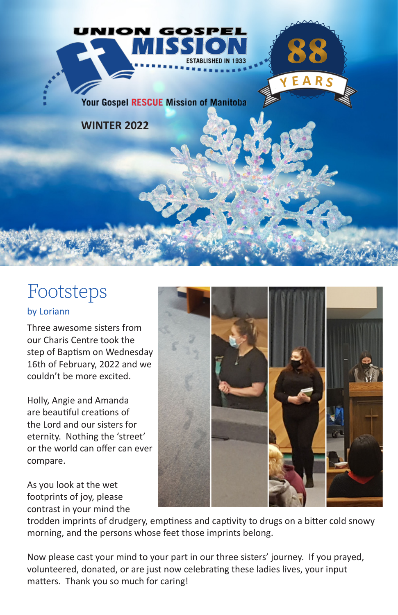

### Footsteps

### by Loriann

Three awesome sisters from our Charis Centre took the step of Baptism on Wednesday 16th of February, 2022 and we couldn't be more excited.

Holly, Angie and Amanda are beautiful creations of the Lord and our sisters for eternity. Nothing the 'street' or the world can offer can ever compare.

As you look at the wet footprints of joy, please contrast in your mind the



trodden imprints of drudgery, emptiness and captivity to drugs on a bitter cold snowy morning, and the persons whose feet those imprints belong.

Now please cast your mind to your part in our three sisters' journey. If you prayed, volunteered, donated, or are just now celebrating these ladies lives, your input matters. Thank you so much for caring!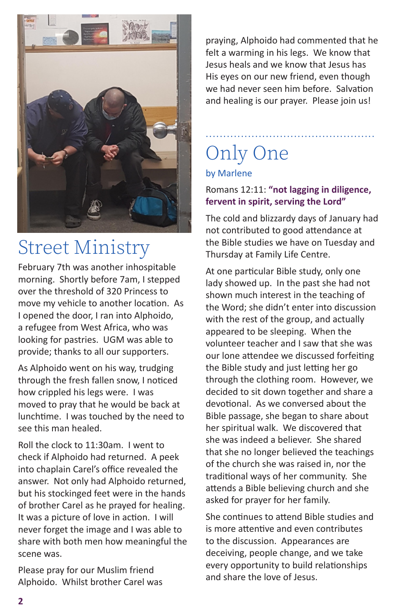

### Street Ministry

February 7th was another inhospitable morning. Shortly before 7am, I stepped over the threshold of 320 Princess to move my vehicle to another location. As I opened the door, I ran into Alphoido, a refugee from West Africa, who was looking for pastries. UGM was able to provide; thanks to all our supporters.

As Alphoido went on his way, trudging through the fresh fallen snow, I noticed how crippled his legs were. I was moved to pray that he would be back at lunchtime. I was touched by the need to see this man healed.

Roll the clock to 11:30am. I went to check if Alphoido had returned. A peek into chaplain Carel's office revealed the answer. Not only had Alphoido returned, but his stockinged feet were in the hands of brother Carel as he prayed for healing. It was a picture of love in action. I will never forget the image and I was able to share with both men how meaningful the scene was.

Please pray for our Muslim friend Alphoido. Whilst brother Carel was praying, Alphoido had commented that he felt a warming in his legs. We know that Jesus heals and we know that Jesus has His eyes on our new friend, even though we had never seen him before. Salvation and healing is our prayer. Please join us!

# Only One

### by Marlene

### Romans 12:11: **"not lagging in diligence, fervent in spirit, serving the Lord"**

................................................

The cold and blizzardy days of January had not contributed to good attendance at the Bible studies we have on Tuesday and Thursday at Family Life Centre.

At one particular Bible study, only one lady showed up. In the past she had not shown much interest in the teaching of the Word; she didn't enter into discussion with the rest of the group, and actually appeared to be sleeping. When the volunteer teacher and I saw that she was our lone attendee we discussed forfeiting the Bible study and just letting her go through the clothing room. However, we decided to sit down together and share a devotional. As we conversed about the Bible passage, she began to share about her spiritual walk. We discovered that she was indeed a believer. She shared that she no longer believed the teachings of the church she was raised in, nor the traditional ways of her community. She attends a Bible believing church and she asked for prayer for her family.

She continues to attend Bible studies and is more attentive and even contributes to the discussion. Appearances are deceiving, people change, and we take every opportunity to build relationships and share the love of Jesus.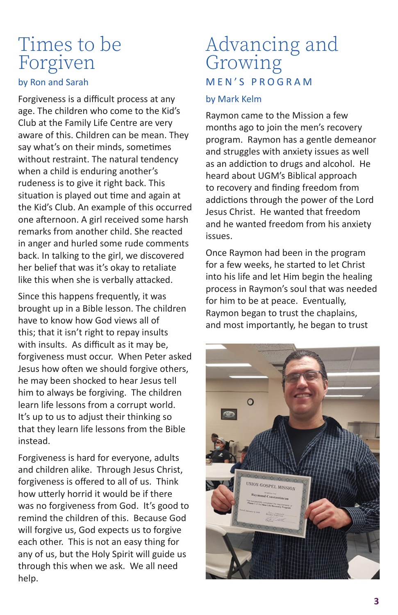### Times to be Forgiven

#### by Ron and Sarah

Forgiveness is a difficult process at any age. The children who come to the Kid's Club at the Family Life Centre are very aware of this. Children can be mean. They say what's on their minds, sometimes without restraint. The natural tendency when a child is enduring another's rudeness is to give it right back. This situation is played out time and again at the Kid's Club. An example of this occurred one afternoon. A girl received some harsh remarks from another child. She reacted in anger and hurled some rude comments back. In talking to the girl, we discovered her belief that was it's okay to retaliate like this when she is verbally attacked.

Since this happens frequently, it was brought up in a Bible lesson. The children have to know how God views all of this; that it isn't right to repay insults with insults. As difficult as it may be, forgiveness must occur. When Peter asked Jesus how often we should forgive others, he may been shocked to hear Jesus tell him to always be forgiving. The children learn life lessons from a corrupt world. It's up to us to adjust their thinking so that they learn life lessons from the Bible instead.

Forgiveness is hard for everyone, adults and children alike. Through Jesus Christ, forgiveness is offered to all of us. Think how utterly horrid it would be if there was no forgiveness from God. It's good to remind the children of this. Because God will forgive us, God expects us to forgive each other. This is not an easy thing for any of us, but the Holy Spirit will guide us through this when we ask. We all need help.

### Advancing and Growing M E N ' S P R O G R A M

#### by Mark Kelm

Raymon came to the Mission a few months ago to join the men's recovery program. Raymon has a gentle demeanor and struggles with anxiety issues as well as an addiction to drugs and alcohol. He heard about UGM's Biblical approach to recovery and finding freedom from addictions through the power of the Lord Jesus Christ. He wanted that freedom and he wanted freedom from his anxiety issues.

Once Raymon had been in the program for a few weeks, he started to let Christ into his life and let Him begin the healing process in Raymon's soul that was needed for him to be at peace. Eventually, Raymon began to trust the chaplains, and most importantly, he began to trust

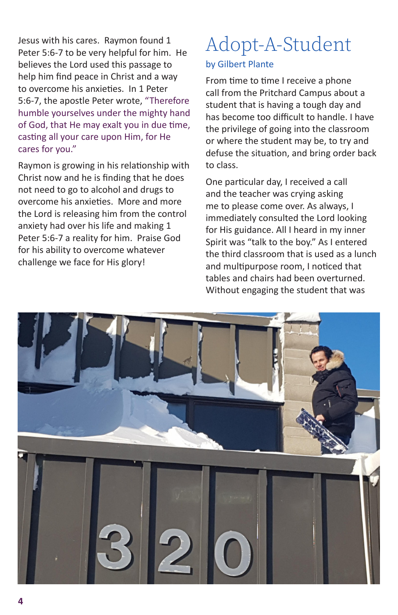Jesus with his cares. Raymon found 1 Peter 5:6-7 to be very helpful for him. He believes the Lord used this passage to help him find peace in Christ and a way to overcome his anxieties. In 1 Peter 5:6-7, the apostle Peter wrote, "Therefore humble yourselves under the mighty hand of God, that He may exalt you in due time, casting all your care upon Him, for He cares for you."

Raymon is growing in his relationship with Christ now and he is finding that he does not need to go to alcohol and drugs to overcome his anxieties. More and more the Lord is releasing him from the control anxiety had over his life and making 1 Peter 5:6-7 a reality for him. Praise God for his ability to overcome whatever challenge we face for His glory!

# Adopt-A-Student

#### by Gilbert Plante

From time to time I receive a phone call from the Pritchard Campus about a student that is having a tough day and has become too difficult to handle. I have the privilege of going into the classroom or where the student may be, to try and defuse the situation, and bring order back to class.

One particular day, I received a call and the teacher was crying asking me to please come over. As always, I immediately consulted the Lord looking for His guidance. All I heard in my inner Spirit was "talk to the boy." As I entered the third classroom that is used as a lunch and multipurpose room, I noticed that tables and chairs had been overturned. Without engaging the student that was

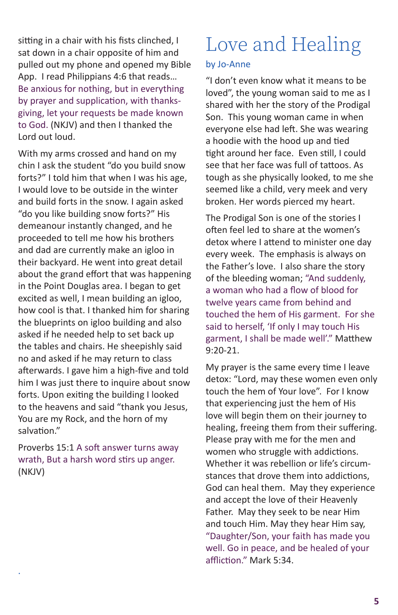sitting in a chair with his fists clinched, I sat down in a chair opposite of him and pulled out my phone and opened my Bible App. I read Philippians 4:6 that reads… Be anxious for nothing, but in everything by prayer and supplication, with thanksgiving, let your requests be made known to God. (NKJV) and then I thanked the Lord out loud.

With my arms crossed and hand on my chin I ask the student "do you build snow forts?" I told him that when I was his age, I would love to be outside in the winter and build forts in the snow. I again asked "do you like building snow forts?" His demeanour instantly changed, and he proceeded to tell me how his brothers and dad are currently make an igloo in their backyard. He went into great detail about the grand effort that was happening in the Point Douglas area. I began to get excited as well, I mean building an igloo, how cool is that. I thanked him for sharing the blueprints on igloo building and also asked if he needed help to set back up the tables and chairs. He sheepishly said no and asked if he may return to class afterwards. I gave him a high-five and told him I was just there to inquire about snow forts. Upon exiting the building I looked to the heavens and said "thank you Jesus, You are my Rock, and the horn of my salvation."

Proverbs 15:1 A soft answer turns away wrath, But a harsh word stirs up anger. (NKJV)

.

## Love and Healing

#### by Jo-Anne

"I don't even know what it means to be loved", the young woman said to me as I shared with her the story of the Prodigal Son. This young woman came in when everyone else had left. She was wearing a hoodie with the hood up and tied tight around her face. Even still, I could see that her face was full of tattoos. As tough as she physically looked, to me she seemed like a child, very meek and very broken. Her words pierced my heart.

The Prodigal Son is one of the stories I often feel led to share at the women's detox where I attend to minister one day every week. The emphasis is always on the Father's love. I also share the story of the bleeding woman; "And suddenly, a woman who had a flow of blood for twelve years came from behind and touched the hem of His garment. For she said to herself, 'If only I may touch His garment, I shall be made well'." Matthew  $9.20 - 21$ 

My prayer is the same every time I leave detox: "Lord, may these women even only touch the hem of Your love". For I know that experiencing just the hem of His love will begin them on their journey to healing, freeing them from their suffering. Please pray with me for the men and women who struggle with addictions. Whether it was rebellion or life's circumstances that drove them into addictions, God can heal them. May they experience and accept the love of their Heavenly Father. May they seek to be near Him and touch Him. May they hear Him say, "Daughter/Son, your faith has made you well. Go in peace, and be healed of your affliction." Mark 5:34.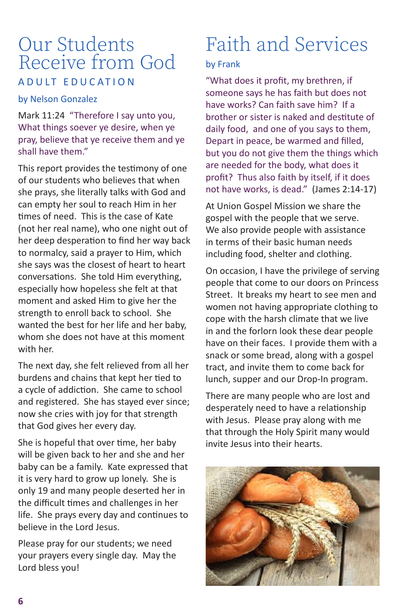### Our Students Receive from God A D U L T E D U C A T LO N

#### by Nelson Gonzalez

Mark 11:24 "Therefore I say unto you, What things soever ye desire, when ye pray, believe that ye receive them and ye shall have them"

This report provides the testimony of one of our students who believes that when she prays, she literally talks with God and can empty her soul to reach Him in her times of need. This is the case of Kate (not her real name), who one night out of her deep desperation to find her way back to normalcy, said a prayer to Him, which she says was the closest of heart to heart conversations. She told Him everything, especially how hopeless she felt at that moment and asked Him to give her the strength to enroll back to school. She wanted the best for her life and her baby, whom she does not have at this moment with her.

The next day, she felt relieved from all her burdens and chains that kept her tied to a cycle of addiction. She came to school and registered. She has stayed ever since; now she cries with joy for that strength that God gives her every day.

She is hopeful that over time, her baby will be given back to her and she and her baby can be a family. Kate expressed that it is very hard to grow up lonely. She is only 19 and many people deserted her in the difficult times and challenges in her life. She prays every day and continues to believe in the Lord Jesus.

Please pray for our students; we need your prayers every single day. May the Lord bless you!

## Faith and Services

### by Frank

"What does it profit, my brethren, if someone says he has faith but does not have works? Can faith save him? If a brother or sister is naked and destitute of daily food, and one of you says to them, Depart in peace, be warmed and filled, but you do not give them the things which are needed for the body, what does it profit? Thus also faith by itself, if it does not have works, is dead." (James 2:14-17)

At Union Gospel Mission we share the gospel with the people that we serve. We also provide people with assistance in terms of their basic human needs including food, shelter and clothing.

On occasion, I have the privilege of serving people that come to our doors on Princess Street. It breaks my heart to see men and women not having appropriate clothing to cope with the harsh climate that we live in and the forlorn look these dear people have on their faces. I provide them with a snack or some bread, along with a gospel tract, and invite them to come back for lunch, supper and our Drop-In program.

There are many people who are lost and desperately need to have a relationship with Jesus. Please pray along with me that through the Holy Spirit many would invite Jesus into their hearts.

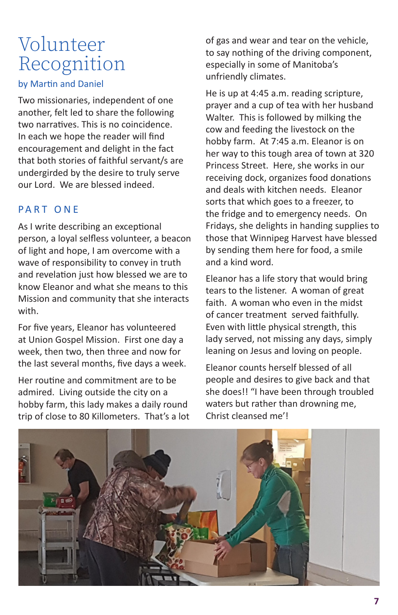### Volunteer Recognition

### by Martin and Daniel

Two missionaries, independent of one another, felt led to share the following two narratives. This is no coincidence. In each we hope the reader will find encouragement and delight in the fact that both stories of faithful servant/s are undergirded by the desire to truly serve our Lord. We are blessed indeed.

### PART ONF

As I write describing an exceptional person, a loyal selfless volunteer, a beacon of light and hope, I am overcome with a wave of responsibility to convey in truth and revelation just how blessed we are to know Eleanor and what she means to this Mission and community that she interacts with.

For five years, Eleanor has volunteered at Union Gospel Mission. First one day a week, then two, then three and now for the last several months, five days a week.

Her routine and commitment are to be admired. Living outside the city on a hobby farm, this lady makes a daily round trip of close to 80 Killometers. That's a lot of gas and wear and tear on the vehicle, to say nothing of the driving component, especially in some of Manitoba's unfriendly climates.

He is up at 4:45 a.m. reading scripture, prayer and a cup of tea with her husband Walter. This is followed by milking the cow and feeding the livestock on the hobby farm. At 7:45 a.m. Eleanor is on her way to this tough area of town at 320 Princess Street. Here, she works in our receiving dock, organizes food donations and deals with kitchen needs. Eleanor sorts that which goes to a freezer, to the fridge and to emergency needs. On Fridays, she delights in handing supplies to those that Winnipeg Harvest have blessed by sending them here for food, a smile and a kind word.

Eleanor has a life story that would bring tears to the listener. A woman of great faith. A woman who even in the midst of cancer treatment served faithfully. Even with little physical strength, this lady served, not missing any days, simply leaning on Jesus and loving on people.

Eleanor counts herself blessed of all people and desires to give back and that she does!! "I have been through troubled waters but rather than drowning me, Christ cleansed me'!